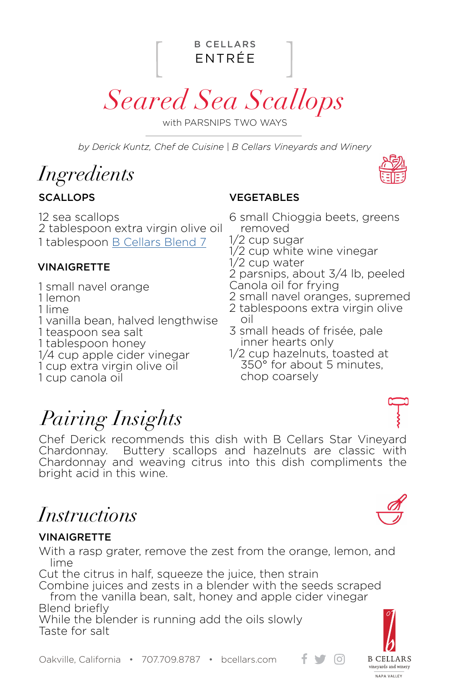ENTRÉE B CELLARS

*Seared Sea Scallops*

with PARSNIPS TWO WAYS

*by Derick Kuntz, Chef de Cuisine | B Cellars Vineyards and Winery*

# *Ingredients*

#### **SCALLOPS**

12 sea scallops 2 tablespoon extra virgin olive oil 1 tablespoon [B Cellars Blend 7](https://www.bcellars.com/product/spiceblend7)

#### **VINAIGRETTE**

- 1 small navel orange
- 1 lemon
- 1 lime
- 1 vanilla bean, halved lengthwise
- 1 teaspoon sea salt 1 tablespoon honey
- 1/4 cup apple cider vinegar
- 1 cup extra virgin olive oil
- 1 cup canola oil

#### VEGETABLES

- 6 small Chioggia beets, greens removed
- 1/2 cup sugar
- 1/2 cup white wine vinegar
- 1/2 cup water
- 2 parsnips, about 3/4 lb, peeled
- Canola oil for frying
- 2 small navel oranges, supremed
- 2 tablespoons extra virgin olive oil
- 3 small heads of frisée, pale inner hearts only
- 1/2 cup hazelnuts, toasted at 350° for about 5 minutes, chop coarsely

# *Pairing Insights*

Chef Derick recommends this dish with B Cellars Star Vineyard Chardonnay. Buttery scallops and hazelnuts are classic with Chardonnay and weaving citrus into this dish compliments the bright acid in this wine.

# *Instructions*

#### **VINAIGRETTE**

With a rasp grater, remove the zest from the orange, lemon, and lime

Cut the citrus in half, squeeze the juice, then strain

Combine juices and zests in a blender with the seeds scraped from the vanilla bean, salt, honey and apple cider vinegar Blend briefly

While the blender is running add the oils slowly Taste for salt



 $\bigcup$   $[0]$